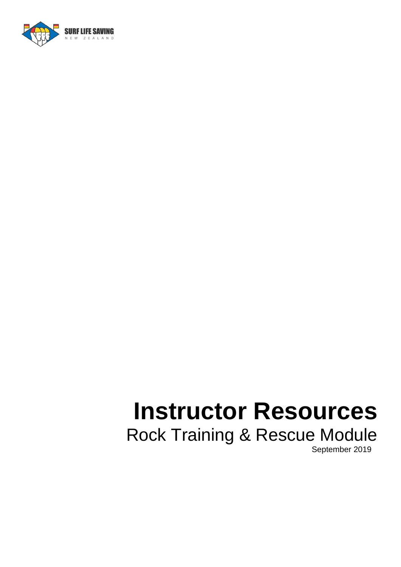

# **Instructor Resources** Rock Training & Rescue Module

September 2019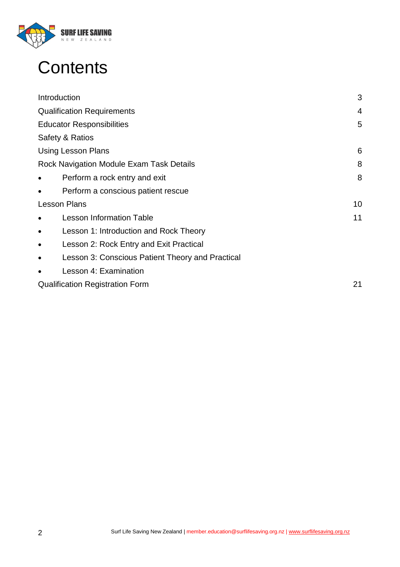

## **Contents**

| 3  |
|----|
| 4  |
| 5  |
|    |
| 6  |
| 8  |
| 8  |
|    |
| 10 |
| 11 |
|    |
|    |
|    |
|    |
| 21 |
|    |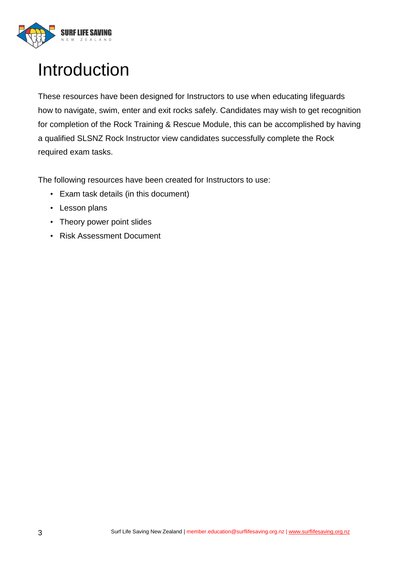

## Introduction

These resources have been designed for Instructors to use when educating lifeguards how to navigate, swim, enter and exit rocks safely. Candidates may wish to get recognition for completion of the Rock Training & Rescue Module, this can be accomplished by having a qualified SLSNZ Rock Instructor view candidates successfully complete the Rock required exam tasks.

The following resources have been created for Instructors to use:

- Exam task details (in this document)
- Lesson plans
- Theory power point slides
- Risk Assessment Document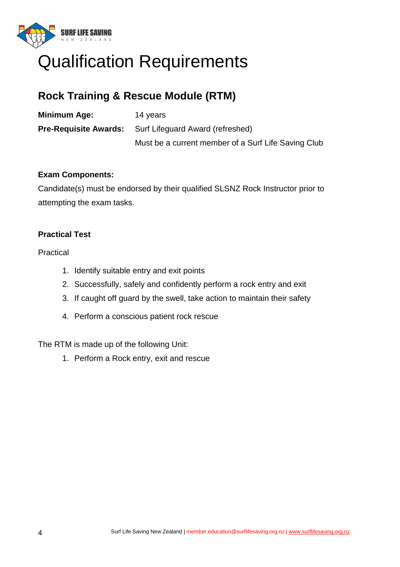

### Qualification Requirements

#### **Rock Training & Rescue Module (RTM)**

| Minimum Age: | 14 years                                                      |
|--------------|---------------------------------------------------------------|
|              | <b>Pre-Requisite Awards:</b> Surf Lifeguard Award (refreshed) |
|              | Must be a current member of a Surf Life Saving Club           |

#### **Exam Components:**

Candidate(s) must be endorsed by their qualified SLSNZ Rock Instructor prior to attempting the exam tasks.

#### **Practical Test**

Practical

- 1. Identify suitable entry and exit points
- 2. Successfully, safely and confidently perform a rock entry and exit
- 3. If caught off guard by the swell, take action to maintain their safety
- 4. Perform a conscious patient rock rescue

The RTM is made up of the following Unit:

1. Perform a Rock entry, exit and rescue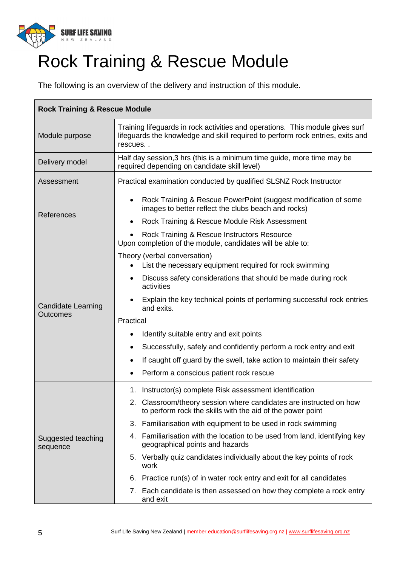

## Rock Training & Rescue Module

The following is an overview of the delivery and instruction of this module.

| <b>Rock Training &amp; Rescue Module</b> |                                                                                                                                                                            |  |  |
|------------------------------------------|----------------------------------------------------------------------------------------------------------------------------------------------------------------------------|--|--|
| Module purpose                           | Training lifeguards in rock activities and operations. This module gives surf<br>lifeguards the knowledge and skill required to perform rock entries, exits and<br>rescues |  |  |
| Delivery model                           | Half day session, 3 hrs (this is a minimum time guide, more time may be<br>required depending on candidate skill level)                                                    |  |  |
| Assessment                               | Practical examination conducted by qualified SLSNZ Rock Instructor                                                                                                         |  |  |
|                                          | Rock Training & Rescue PowerPoint (suggest modification of some<br>$\bullet$<br>images to better reflect the clubs beach and rocks)                                        |  |  |
| References                               | Rock Training & Rescue Module Risk Assessment<br>٠                                                                                                                         |  |  |
|                                          | Rock Training & Rescue Instructors Resource                                                                                                                                |  |  |
|                                          | Upon completion of the module, candidates will be able to:                                                                                                                 |  |  |
|                                          | Theory (verbal conversation)<br>List the necessary equipment required for rock swimming                                                                                    |  |  |
|                                          | Discuss safety considerations that should be made during rock<br>$\bullet$<br>activities                                                                                   |  |  |
| <b>Candidate Learning</b>                | Explain the key technical points of performing successful rock entries<br>and exits.                                                                                       |  |  |
| <b>Outcomes</b>                          | Practical                                                                                                                                                                  |  |  |
|                                          | Identify suitable entry and exit points                                                                                                                                    |  |  |
|                                          | Successfully, safely and confidently perform a rock entry and exit<br>٠                                                                                                    |  |  |
|                                          | If caught off guard by the swell, take action to maintain their safety<br>٠                                                                                                |  |  |
|                                          | Perform a conscious patient rock rescue                                                                                                                                    |  |  |
|                                          | 1. Instructor(s) complete Risk assessment identification                                                                                                                   |  |  |
|                                          | 2. Classroom/theory session where candidates are instructed on how<br>to perform rock the skills with the aid of the power point                                           |  |  |
|                                          | 3. Familiarisation with equipment to be used in rock swimming                                                                                                              |  |  |
| Suggested teaching<br>sequence           | 4. Familiarisation with the location to be used from land, identifying key<br>geographical points and hazards                                                              |  |  |
|                                          | 5. Verbally quiz candidates individually about the key points of rock<br>work                                                                                              |  |  |
|                                          | 6. Practice run(s) of in water rock entry and exit for all candidates                                                                                                      |  |  |
|                                          | 7. Each candidate is then assessed on how they complete a rock entry<br>and exit                                                                                           |  |  |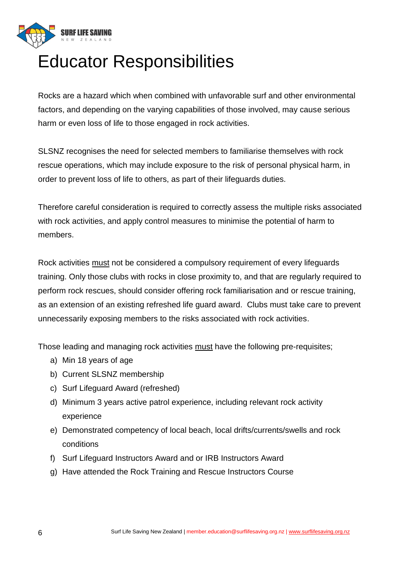

## Educator Responsibilities

Rocks are a hazard which when combined with unfavorable surf and other environmental factors, and depending on the varying capabilities of those involved, may cause serious harm or even loss of life to those engaged in rock activities.

SLSNZ recognises the need for selected members to familiarise themselves with rock rescue operations, which may include exposure to the risk of personal physical harm, in order to prevent loss of life to others, as part of their lifeguards duties.

Therefore careful consideration is required to correctly assess the multiple risks associated with rock activities, and apply control measures to minimise the potential of harm to members.

Rock activities must not be considered a compulsory requirement of every lifeguards training. Only those clubs with rocks in close proximity to, and that are regularly required to perform rock rescues, should consider offering rock familiarisation and or rescue training, as an extension of an existing refreshed life guard award. Clubs must take care to prevent unnecessarily exposing members to the risks associated with rock activities.

Those leading and managing rock activities must have the following pre-requisites;

- a) Min 18 years of age
- b) Current SLSNZ membership
- c) Surf Lifeguard Award (refreshed)
- d) Minimum 3 years active patrol experience, including relevant rock activity experience
- e) Demonstrated competency of local beach, local drifts/currents/swells and rock conditions
- f) Surf Lifeguard Instructors Award and or IRB Instructors Award
- g) Have attended the Rock Training and Rescue Instructors Course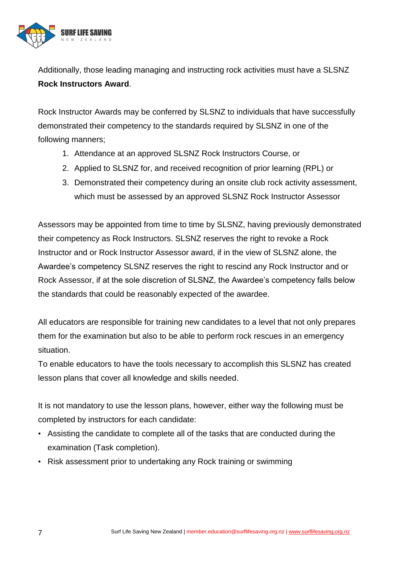

Additionally, those leading managing and instructing rock activities must have a SLSNZ **Rock Instructors Award**.

Rock Instructor Awards may be conferred by SLSNZ to individuals that have successfully demonstrated their competency to the standards required by SLSNZ in one of the following manners;

- 1. Attendance at an approved SLSNZ Rock Instructors Course, or
- 2. Applied to SLSNZ for, and received recognition of prior learning (RPL) or
- 3. Demonstrated their competency during an onsite club rock activity assessment, which must be assessed by an approved SLSNZ Rock Instructor Assessor

Assessors may be appointed from time to time by SLSNZ, having previously demonstrated their competency as Rock Instructors. SLSNZ reserves the right to revoke a Rock Instructor and or Rock Instructor Assessor award, if in the view of SLSNZ alone, the Awardee's competency SLSNZ reserves the right to rescind any Rock Instructor and or Rock Assessor, if at the sole discretion of SLSNZ, the Awardee's competency falls below the standards that could be reasonably expected of the awardee.

All educators are responsible for training new candidates to a level that not only prepares them for the examination but also to be able to perform rock rescues in an emergency situation.

To enable educators to have the tools necessary to accomplish this SLSNZ has created lesson plans that cover all knowledge and skills needed.

It is not mandatory to use the lesson plans, however, either way the following must be completed by instructors for each candidate:

- Assisting the candidate to complete all of the tasks that are conducted during the examination (Task completion).
- Risk assessment prior to undertaking any Rock training or swimming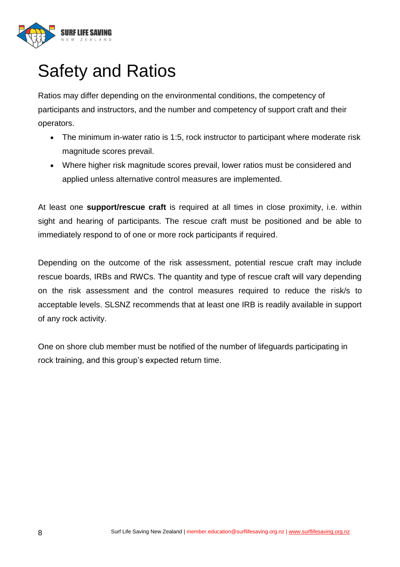

## Safety and Ratios

Ratios may differ depending on the environmental conditions, the competency of participants and instructors, and the number and competency of support craft and their operators.

- The minimum in-water ratio is 1:5, rock instructor to participant where moderate risk magnitude scores prevail.
- Where higher risk magnitude scores prevail, lower ratios must be considered and applied unless alternative control measures are implemented.

At least one **support/rescue craft** is required at all times in close proximity, i.e. within sight and hearing of participants. The rescue craft must be positioned and be able to immediately respond to of one or more rock participants if required.

Depending on the outcome of the risk assessment, potential rescue craft may include rescue boards, IRBs and RWCs. The quantity and type of rescue craft will vary depending on the risk assessment and the control measures required to reduce the risk/s to acceptable levels. SLSNZ recommends that at least one IRB is readily available in support of any rock activity.

One on shore club member must be notified of the number of lifeguards participating in rock training, and this group's expected return time.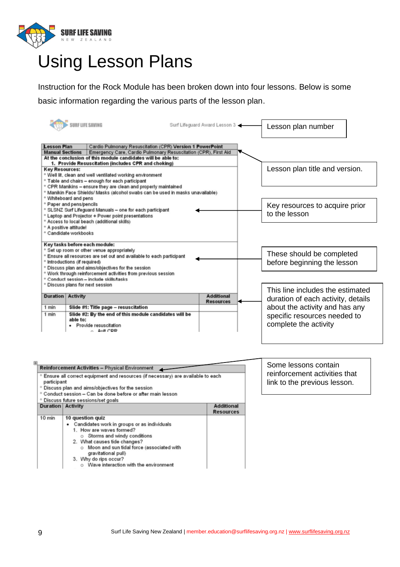

### Using Lesson Plans

Instruction for the Rock Module has been broken down into four lessons. Below is some basic information regarding the various parts of the lesson plan.

|                                                                                                   | SURF LIFE SAVING                                                                                                                                                                                                                                                                                                                                                   | Surf Lifeguard Award Lesson 3         | Lesson plan number                                                                      |
|---------------------------------------------------------------------------------------------------|--------------------------------------------------------------------------------------------------------------------------------------------------------------------------------------------------------------------------------------------------------------------------------------------------------------------------------------------------------------------|---------------------------------------|-----------------------------------------------------------------------------------------|
| <b>Lesson Plan</b><br><b>Manual Sections</b><br><b>Key Resources:</b>                             | Cardio Pulmonary Resuscitation (CPR) Version 1 PowerPoint<br>Emergency Care, Cardio Pulmonary Resuscitation (CPR), First Aid<br>At the conclusion of this module candidates will be able to:<br>1. Provide Resuscitation (includes CPR and choking)                                                                                                                |                                       | Lesson plan title and version.                                                          |
| ° Whiteboard and pens                                                                             | ° Well lit, clean and well ventilated working environment<br><sup>o</sup> Table and chairs - enough for each participant<br>° CPR Manikins - ensure they are clean and properly maintained<br>° Manikin Face Shields/ Masks (alcohol swabs can be used in masks unavailable)                                                                                       |                                       |                                                                                         |
| <sup>o</sup> Paper and pens/pencils<br><sup>o</sup> A positive attitude!<br>° Candidate workbooks | ° SLSNZ Surf Lifeguard Manuals - one for each participant<br>° Laptop and Projector + Power point presentations<br><sup>o</sup> Access to local beach (additional skills)                                                                                                                                                                                          |                                       | Key resources to acquire prior<br>to the lesson                                         |
|                                                                                                   | Key tasks before each module:<br>° Set up room or other venue appropriately<br>° Ensure all resources are set out and available to each participant<br><sup>o</sup> Introductions (if required)<br>° Discuss plan and aims/objectives for the session<br>° Work through reinforcement activities from previous session<br>° Conduct session - include skills/tasks |                                       | These should be completed<br>before beginning the lesson                                |
| <b>Duration Activity</b>                                                                          | ° Discuss plans for next session                                                                                                                                                                                                                                                                                                                                   | <b>Additional</b><br><b>Resources</b> | This line includes the estimated<br>duration of each activity, details                  |
| 1 min<br>1 min                                                                                    | Slide #1: Title page - resuscitation<br>Slide #2: By the end of this module candidates will be<br>able to:<br>· Provide resuscitation<br>Aut CDD                                                                                                                                                                                                                   |                                       | about the activity and has any<br>specific resources needed to<br>complete the activity |

| 围 |                                                                                                             |                                                                    |                   |  |
|---|-------------------------------------------------------------------------------------------------------------|--------------------------------------------------------------------|-------------------|--|
|   | <b>Reinforcement Activities - Physical Environment</b>                                                      |                                                                    |                   |  |
|   | <sup>o</sup> Ensure all correct equipment and resources (if necessary) are available to each<br>participant |                                                                    |                   |  |
|   |                                                                                                             | ° Discuss plan and aims/objectives for the session                 |                   |  |
|   |                                                                                                             | ° Conduct session - Can be done before or after main lesson        |                   |  |
|   |                                                                                                             | <sup>o</sup> Discuss future sessions/set goals                     |                   |  |
|   | <b>Duration Activity</b>                                                                                    |                                                                    | <b>Additional</b> |  |
|   |                                                                                                             |                                                                    | <b>Resources</b>  |  |
|   | 10 min                                                                                                      | 10 question quiz                                                   |                   |  |
|   |                                                                                                             | Candidates work in groups or as individuals                        |                   |  |
|   |                                                                                                             | 1. How are waves formed?                                           |                   |  |
|   |                                                                                                             | o Storms and windy conditions                                      |                   |  |
|   |                                                                                                             | 2. What causes tide changes?                                       |                   |  |
|   |                                                                                                             | o Moon and sun tidal force (associated with<br>gravitational pull) |                   |  |
|   |                                                                                                             | 3. Why do rips occur?                                              |                   |  |
|   |                                                                                                             | o Wave interaction with the environment                            |                   |  |

Some lessons contain reinforcement activities that link to the previous lesson.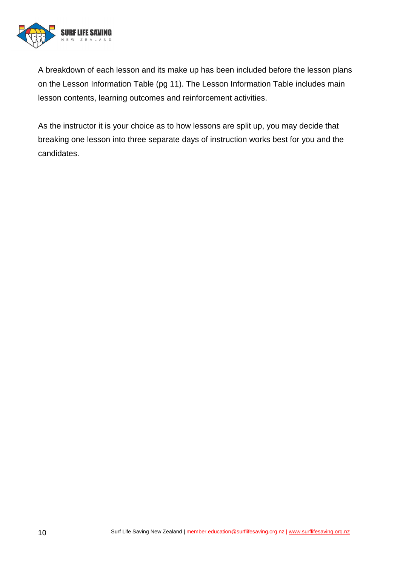

A breakdown of each lesson and its make up has been included before the lesson plans on the Lesson Information Table (pg 11). The Lesson Information Table includes main lesson contents, learning outcomes and reinforcement activities.

As the instructor it is your choice as to how lessons are split up, you may decide that breaking one lesson into three separate days of instruction works best for you and the candidates.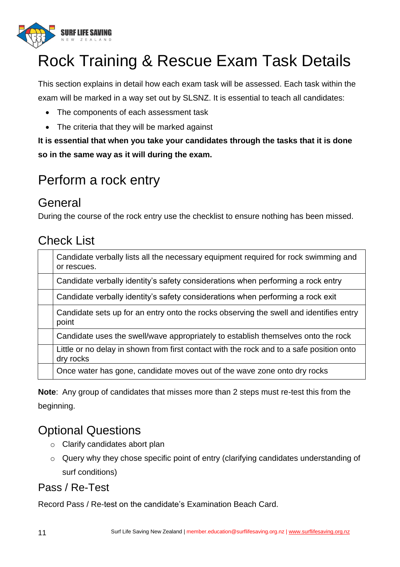

## Rock Training & Rescue Exam Task Details

This section explains in detail how each exam task will be assessed. Each task within the exam will be marked in a way set out by SLSNZ. It is essential to teach all candidates:

- The components of each assessment task
- The criteria that they will be marked against

**It is essential that when you take your candidates through the tasks that it is done so in the same way as it will during the exam.**

### Perform a rock entry

#### General

During the course of the rock entry use the checklist to ensure nothing has been missed.

#### Check List

| Candidate verbally lists all the necessary equipment required for rock swimming and<br>or rescues.    |
|-------------------------------------------------------------------------------------------------------|
| Candidate verbally identity's safety considerations when performing a rock entry                      |
| Candidate verbally identity's safety considerations when performing a rock exit                       |
| Candidate sets up for an entry onto the rocks observing the swell and identifies entry<br>point       |
| Candidate uses the swell/wave appropriately to establish themselves onto the rock                     |
| Little or no delay in shown from first contact with the rock and to a safe position onto<br>dry rocks |
| Once water has gone, candidate moves out of the wave zone onto dry rocks                              |

**Note**: Any group of candidates that misses more than 2 steps must re-test this from the beginning.

#### Optional Questions

- o Clarify candidates abort plan
- o Query why they chose specific point of entry (clarifying candidates understanding of surf conditions)

#### Pass / Re-Test

Record Pass / Re-test on the candidate's Examination Beach Card.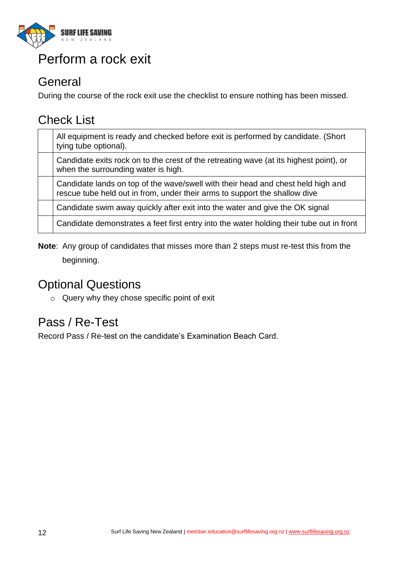

### Perform a rock exit

#### **General**

During the course of the rock exit use the checklist to ensure nothing has been missed.

#### Check List

| All equipment is ready and checked before exit is performed by candidate. (Short<br>tying tube optional).                                                      |
|----------------------------------------------------------------------------------------------------------------------------------------------------------------|
| Candidate exits rock on to the crest of the retreating wave (at its highest point), or<br>when the surrounding water is high.                                  |
| Candidate lands on top of the wave/swell with their head and chest held high and<br>rescue tube held out in from, under their arms to support the shallow dive |
| Candidate swim away quickly after exit into the water and give the OK signal                                                                                   |
| Candidate demonstrates a feet first entry into the water holding their tube out in front                                                                       |

**Note**: Any group of candidates that misses more than 2 steps must re-test this from the beginning.

#### Optional Questions

o Query why they chose specific point of exit

### Pass / Re-Test

Record Pass / Re-test on the candidate's Examination Beach Card.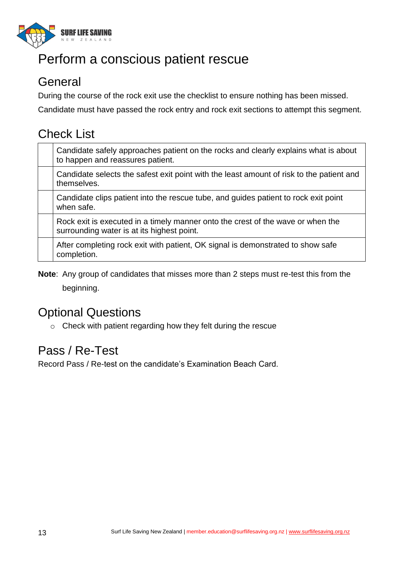

### Perform a conscious patient rescue

#### **General**

During the course of the rock exit use the checklist to ensure nothing has been missed.

Candidate must have passed the rock entry and rock exit sections to attempt this segment.

### Check List

| Candidate safely approaches patient on the rocks and clearly explains what is about<br>to happen and reassures patient.       |
|-------------------------------------------------------------------------------------------------------------------------------|
| Candidate selects the safest exit point with the least amount of risk to the patient and<br>themselves.                       |
| Candidate clips patient into the rescue tube, and guides patient to rock exit point<br>when safe.                             |
| Rock exit is executed in a timely manner onto the crest of the wave or when the<br>surrounding water is at its highest point. |
| After completing rock exit with patient, OK signal is demonstrated to show safe<br>completion.                                |

**Note**: Any group of candidates that misses more than 2 steps must re-test this from the beginning.

### Optional Questions

o Check with patient regarding how they felt during the rescue

#### Pass / Re-Test

Record Pass / Re-test on the candidate's Examination Beach Card.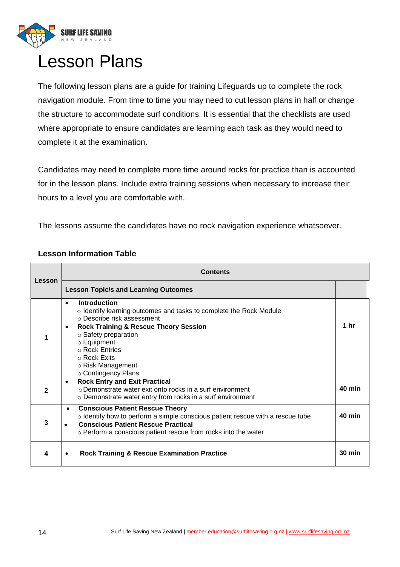

### Lesson Plans

The following lesson plans are a guide for training Lifeguards up to complete the rock navigation module. From time to time you may need to cut lesson plans in half or change the structure to accommodate surf conditions. It is essential that the checklists are used where appropriate to ensure candidates are learning each task as they would need to complete it at the examination.

Candidates may need to complete more time around rocks for practice than is accounted for in the lesson plans. Include extra training sessions when necessary to increase their hours to a level you are comfortable with.

The lessons assume the candidates have no rock navigation experience whatsoever.

| Lesson       | <b>Contents</b>                                                                                                                                                                                                                                                                                                                             |                  |
|--------------|---------------------------------------------------------------------------------------------------------------------------------------------------------------------------------------------------------------------------------------------------------------------------------------------------------------------------------------------|------------------|
|              | <b>Lesson Topic/s and Learning Outcomes</b>                                                                                                                                                                                                                                                                                                 |                  |
| 1            | Introduction<br>$\bullet$<br>o Identify learning outcomes and tasks to complete the Rock Module<br>○ Describe risk assessment<br><b>Rock Training &amp; Rescue Theory Session</b><br>$\bullet$<br>$\circ$ Safety preparation<br>$\circ$ Equipment<br>$\circ$ Rock Entries<br>$\circ$ Rock Exits<br>○ Risk Management<br>○ Contingency Plans | 1 <sub>hr</sub>  |
| $\mathbf{2}$ | <b>Rock Entry and Exit Practical</b><br>$\bullet$<br>○ Demonstrate water exit onto rocks in a surf environment<br>o Demonstrate water entry from rocks in a surf environment                                                                                                                                                                | <b>40 min</b>    |
| 3            | <b>Conscious Patient Rescue Theory</b><br>$\bullet$<br>$\circ$ Identify how to perform a simple conscious patient rescue with a rescue tube<br><b>Conscious Patient Rescue Practical</b><br>$\bullet$<br>o Perform a conscious patient rescue from rocks into the water                                                                     | $40$ min         |
| 4            | <b>Rock Training &amp; Rescue Examination Practice</b>                                                                                                                                                                                                                                                                                      | $30 \text{ min}$ |

#### **Lesson Information Table**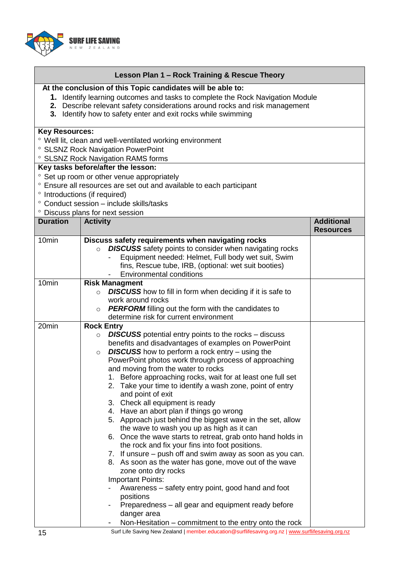

| Lesson Plan 1 – Rock Training & Rescue Theory |  |  |
|-----------------------------------------------|--|--|
|-----------------------------------------------|--|--|

#### **At the conclusion of this Topic candidates will be able to:**

- **1.** Identify learning outcomes and tasks to complete the Rock Navigation Module
- **2.** Describe relevant safety considerations around rocks and risk management
- **3.** Identify how to safety enter and exit rocks while swimming

#### **Key Resources:**

- Well lit, clean and well-ventilated working environment
- <sup>o</sup> SLSNZ Rock Navigation PowerPoint
- SLSNZ Rock Navigation RAMS forms

#### **Key tasks before/after the lesson:**

- <sup>o</sup> Set up room or other venue appropriately
- Ensure all resources are set out and available to each participant
- ° Introductions (if required)
- Conduct session include skills/tasks Discuss plans for next session

|                   | <u>Listuss pidris iui fiexi sessiuri</u>                                                                       |                                       |  |
|-------------------|----------------------------------------------------------------------------------------------------------------|---------------------------------------|--|
| <b>Duration</b>   | <b>Activity</b>                                                                                                | <b>Additional</b><br><b>Resources</b> |  |
| 10 <sub>min</sub> | Discuss safety requirements when navigating rocks                                                              |                                       |  |
|                   | <b>DISCUSS</b> safety points to consider when navigating rocks<br>$\circ$                                      |                                       |  |
|                   | Equipment needed: Helmet, Full body wet suit, Swim                                                             |                                       |  |
|                   | fins, Rescue tube, IRB, (optional: wet suit booties)                                                           |                                       |  |
|                   | <b>Environmental conditions</b>                                                                                |                                       |  |
| 10 <sub>min</sub> | <b>Risk Managment</b>                                                                                          |                                       |  |
|                   | <b>DISCUSS</b> how to fill in form when deciding if it is safe to<br>$\circ$                                   |                                       |  |
|                   | work around rocks                                                                                              |                                       |  |
|                   | PERFORM filling out the form with the candidates to<br>$\circ$                                                 |                                       |  |
|                   | determine risk for current environment                                                                         |                                       |  |
| 20min             | <b>Rock Entry</b>                                                                                              |                                       |  |
|                   | <b>DISCUSS</b> potential entry points to the rocks – discuss<br>$\circ$                                        |                                       |  |
|                   | benefits and disadvantages of examples on PowerPoint                                                           |                                       |  |
|                   | <b>DISCUSS</b> how to perform a rock entry $-$ using the<br>$\circ$                                            |                                       |  |
|                   | PowerPoint photos work through process of approaching                                                          |                                       |  |
|                   | and moving from the water to rocks                                                                             |                                       |  |
|                   | 1. Before approaching rocks, wait for at least one full set                                                    |                                       |  |
|                   | 2. Take your time to identify a wash zone, point of entry                                                      |                                       |  |
|                   | and point of exit                                                                                              |                                       |  |
|                   | 3. Check all equipment is ready                                                                                |                                       |  |
|                   | 4. Have an abort plan if things go wrong                                                                       |                                       |  |
|                   | 5. Approach just behind the biggest wave in the set, allow                                                     |                                       |  |
|                   | the wave to wash you up as high as it can                                                                      |                                       |  |
|                   | 6. Once the wave starts to retreat, grab onto hand holds in<br>the rock and fix your fins into foot positions. |                                       |  |
|                   | 7. If unsure – push off and swim away as soon as you can.                                                      |                                       |  |
|                   | 8. As soon as the water has gone, move out of the wave                                                         |                                       |  |
|                   | zone onto dry rocks                                                                                            |                                       |  |
|                   | <b>Important Points:</b>                                                                                       |                                       |  |
|                   | Awareness – safety entry point, good hand and foot                                                             |                                       |  |
|                   | positions                                                                                                      |                                       |  |
|                   | Preparedness - all gear and equipment ready before                                                             |                                       |  |
|                   | danger area                                                                                                    |                                       |  |
|                   | Non-Hesitation – commitment to the entry onto the rock                                                         |                                       |  |
|                   |                                                                                                                |                                       |  |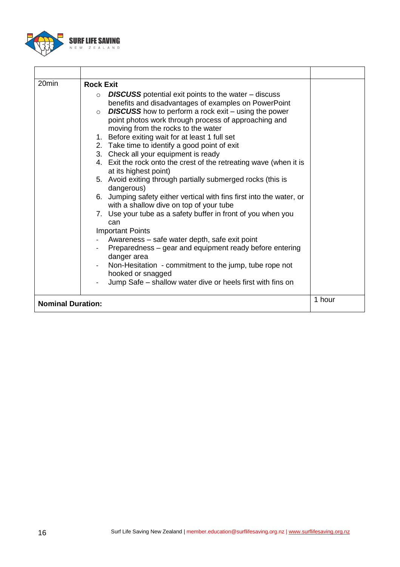

| 20min                    | <b>Rock Exit</b><br><b>DISCUSS</b> potential exit points to the water – discuss<br>$\circ$<br>benefits and disadvantages of examples on PowerPoint<br><b>DISCUSS</b> how to perform a rock exit – using the power<br>$\circ$<br>point photos work through process of approaching and<br>moving from the rocks to the water<br>1. Before exiting wait for at least 1 full set<br>2. Take time to identify a good point of exit<br>3. Check all your equipment is ready<br>4. Exit the rock onto the crest of the retreating wave (when it is<br>at its highest point)<br>5. Avoid exiting through partially submerged rocks (this is<br>dangerous)<br>6. Jumping safety either vertical with fins first into the water, or<br>with a shallow dive on top of your tube<br>7. Use your tube as a safety buffer in front of you when you<br>can<br><b>Important Points</b><br>Awareness – safe water depth, safe exit point<br>Preparedness – gear and equipment ready before entering<br>danger area<br>Non-Hesitation - commitment to the jump, tube rope not<br>hooked or snagged<br>Jump Safe – shallow water dive or heels first with fins on |        |
|--------------------------|------------------------------------------------------------------------------------------------------------------------------------------------------------------------------------------------------------------------------------------------------------------------------------------------------------------------------------------------------------------------------------------------------------------------------------------------------------------------------------------------------------------------------------------------------------------------------------------------------------------------------------------------------------------------------------------------------------------------------------------------------------------------------------------------------------------------------------------------------------------------------------------------------------------------------------------------------------------------------------------------------------------------------------------------------------------------------------------------------------------------------------------------|--------|
| <b>Nominal Duration:</b> |                                                                                                                                                                                                                                                                                                                                                                                                                                                                                                                                                                                                                                                                                                                                                                                                                                                                                                                                                                                                                                                                                                                                                | 1 hour |
|                          |                                                                                                                                                                                                                                                                                                                                                                                                                                                                                                                                                                                                                                                                                                                                                                                                                                                                                                                                                                                                                                                                                                                                                |        |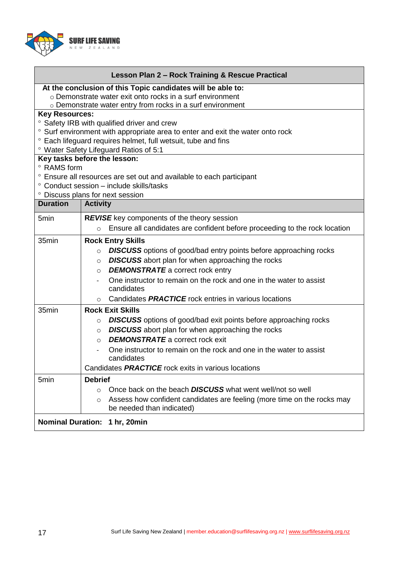

| Lesson Plan 2 - Rock Training & Rescue Practical                                                                                                    |                                                                                       |  |  |  |  |  |  |  |
|-----------------------------------------------------------------------------------------------------------------------------------------------------|---------------------------------------------------------------------------------------|--|--|--|--|--|--|--|
| At the conclusion of this Topic candidates will be able to:                                                                                         |                                                                                       |  |  |  |  |  |  |  |
| o Demonstrate water exit onto rocks in a surf environment                                                                                           |                                                                                       |  |  |  |  |  |  |  |
| o Demonstrate water entry from rocks in a surf environment                                                                                          |                                                                                       |  |  |  |  |  |  |  |
| <b>Key Resources:</b>                                                                                                                               |                                                                                       |  |  |  |  |  |  |  |
| <sup>o</sup> Safety IRB with qualified driver and crew<br><sup>o</sup> Surf environment with appropriate area to enter and exit the water onto rock |                                                                                       |  |  |  |  |  |  |  |
| <sup>o</sup> Each lifeguard requires helmet, full wetsuit, tube and fins                                                                            |                                                                                       |  |  |  |  |  |  |  |
| ° Water Safety Lifeguard Ratios of 5:1                                                                                                              |                                                                                       |  |  |  |  |  |  |  |
| Key tasks before the lesson:                                                                                                                        |                                                                                       |  |  |  |  |  |  |  |
| ° RAMS form                                                                                                                                         |                                                                                       |  |  |  |  |  |  |  |
|                                                                                                                                                     | • Ensure all resources are set out and available to each participant                  |  |  |  |  |  |  |  |
|                                                                                                                                                     | ° Conduct session - include skills/tasks                                              |  |  |  |  |  |  |  |
|                                                                                                                                                     | ° Discuss plans for next session                                                      |  |  |  |  |  |  |  |
| <b>Duration</b>                                                                                                                                     | <b>Activity</b>                                                                       |  |  |  |  |  |  |  |
| 5min                                                                                                                                                | <b>REVISE</b> key components of the theory session                                    |  |  |  |  |  |  |  |
|                                                                                                                                                     | Ensure all candidates are confident before proceeding to the rock location<br>$\circ$ |  |  |  |  |  |  |  |
| 35min                                                                                                                                               | <b>Rock Entry Skills</b>                                                              |  |  |  |  |  |  |  |
|                                                                                                                                                     | <b>DISCUSS</b> options of good/bad entry points before approaching rocks<br>$\circ$   |  |  |  |  |  |  |  |
|                                                                                                                                                     | <b>DISCUSS</b> abort plan for when approaching the rocks<br>$\circ$                   |  |  |  |  |  |  |  |
|                                                                                                                                                     | <b>DEMONSTRATE</b> a correct rock entry<br>$\circ$                                    |  |  |  |  |  |  |  |
|                                                                                                                                                     | One instructor to remain on the rock and one in the water to assist                   |  |  |  |  |  |  |  |
|                                                                                                                                                     | candidates                                                                            |  |  |  |  |  |  |  |
|                                                                                                                                                     | Candidates <b>PRACTICE</b> rock entries in various locations<br>O                     |  |  |  |  |  |  |  |
| 35min                                                                                                                                               | <b>Rock Exit Skills</b>                                                               |  |  |  |  |  |  |  |
|                                                                                                                                                     | <b>DISCUSS</b> options of good/bad exit points before approaching rocks<br>$\circ$    |  |  |  |  |  |  |  |
|                                                                                                                                                     | <b>DISCUSS</b> abort plan for when approaching the rocks<br>$\circ$                   |  |  |  |  |  |  |  |
|                                                                                                                                                     | <b>DEMONSTRATE</b> a correct rock exit<br>$\circ$                                     |  |  |  |  |  |  |  |
|                                                                                                                                                     | One instructor to remain on the rock and one in the water to assist                   |  |  |  |  |  |  |  |
|                                                                                                                                                     | candidates                                                                            |  |  |  |  |  |  |  |
|                                                                                                                                                     | Candidates PRACTICE rock exits in various locations                                   |  |  |  |  |  |  |  |
| 5min                                                                                                                                                | <b>Debrief</b>                                                                        |  |  |  |  |  |  |  |
|                                                                                                                                                     | Once back on the beach <b>DISCUSS</b> what went well/not so well<br>$\circ$           |  |  |  |  |  |  |  |
|                                                                                                                                                     | Assess how confident candidates are feeling (more time on the rocks may<br>$\circ$    |  |  |  |  |  |  |  |
|                                                                                                                                                     | be needed than indicated)                                                             |  |  |  |  |  |  |  |
| <b>Nominal Duration:</b><br>1 hr, 20min                                                                                                             |                                                                                       |  |  |  |  |  |  |  |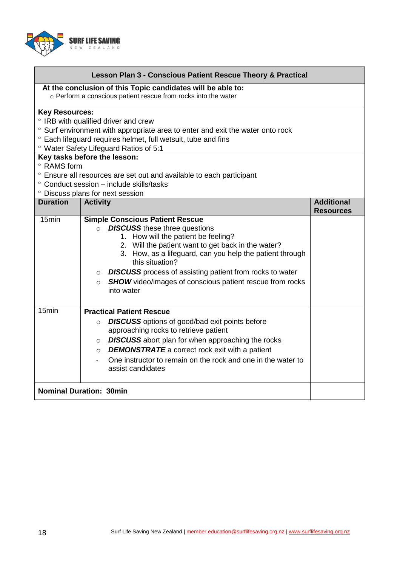

Г

| Lesson Plan 3 - Conscious Patient Rescue Theory & Practical                                                                   |                                                                                        |                   |  |  |  |  |  |  |
|-------------------------------------------------------------------------------------------------------------------------------|----------------------------------------------------------------------------------------|-------------------|--|--|--|--|--|--|
| At the conclusion of this Topic candidates will be able to:<br>o Perform a conscious patient rescue from rocks into the water |                                                                                        |                   |  |  |  |  |  |  |
| <b>Key Resources:</b>                                                                                                         |                                                                                        |                   |  |  |  |  |  |  |
| ° IRB with qualified driver and crew                                                                                          |                                                                                        |                   |  |  |  |  |  |  |
| ° Surf environment with appropriate area to enter and exit the water onto rock                                                |                                                                                        |                   |  |  |  |  |  |  |
| ° Each lifeguard requires helmet, full wetsuit, tube and fins                                                                 |                                                                                        |                   |  |  |  |  |  |  |
| ° Water Safety Lifeguard Ratios of 5:1                                                                                        |                                                                                        |                   |  |  |  |  |  |  |
| Key tasks before the lesson:<br>° RAMS form                                                                                   |                                                                                        |                   |  |  |  |  |  |  |
|                                                                                                                               | ° Ensure all resources are set out and available to each participant                   |                   |  |  |  |  |  |  |
| ° Conduct session - include skills/tasks                                                                                      |                                                                                        |                   |  |  |  |  |  |  |
|                                                                                                                               | ° Discuss plans for next session                                                       |                   |  |  |  |  |  |  |
| <b>Duration</b>                                                                                                               | <b>Activity</b>                                                                        | <b>Additional</b> |  |  |  |  |  |  |
|                                                                                                                               |                                                                                        | <b>Resources</b>  |  |  |  |  |  |  |
| 15 <sub>min</sub>                                                                                                             | <b>Simple Conscious Patient Rescue</b>                                                 |                   |  |  |  |  |  |  |
|                                                                                                                               | <b>DISCUSS</b> these three questions<br>$\circ$<br>1. How will the patient be feeling? |                   |  |  |  |  |  |  |
|                                                                                                                               | 2. Will the patient want to get back in the water?                                     |                   |  |  |  |  |  |  |
|                                                                                                                               | 3. How, as a lifeguard, can you help the patient through                               |                   |  |  |  |  |  |  |
|                                                                                                                               | this situation?                                                                        |                   |  |  |  |  |  |  |
|                                                                                                                               | <b>DISCUSS</b> process of assisting patient from rocks to water<br>$\circ$             |                   |  |  |  |  |  |  |
|                                                                                                                               | <b>SHOW</b> video/images of conscious patient rescue from rocks<br>$\Omega$            |                   |  |  |  |  |  |  |
|                                                                                                                               | into water                                                                             |                   |  |  |  |  |  |  |
|                                                                                                                               |                                                                                        |                   |  |  |  |  |  |  |
| 15min                                                                                                                         | <b>Practical Patient Rescue</b>                                                        |                   |  |  |  |  |  |  |
|                                                                                                                               | <b>DISCUSS</b> options of good/bad exit points before<br>$\circ$                       |                   |  |  |  |  |  |  |
|                                                                                                                               | approaching rocks to retrieve patient                                                  |                   |  |  |  |  |  |  |
|                                                                                                                               | <b>DISCUSS</b> abort plan for when approaching the rocks<br>$\circ$                    |                   |  |  |  |  |  |  |
|                                                                                                                               | <b>DEMONSTRATE</b> a correct rock exit with a patient<br>$\circ$                       |                   |  |  |  |  |  |  |
|                                                                                                                               | One instructor to remain on the rock and one in the water to                           |                   |  |  |  |  |  |  |
|                                                                                                                               | assist candidates                                                                      |                   |  |  |  |  |  |  |
|                                                                                                                               |                                                                                        |                   |  |  |  |  |  |  |
| <b>Nominal Duration: 30min</b>                                                                                                |                                                                                        |                   |  |  |  |  |  |  |

٦